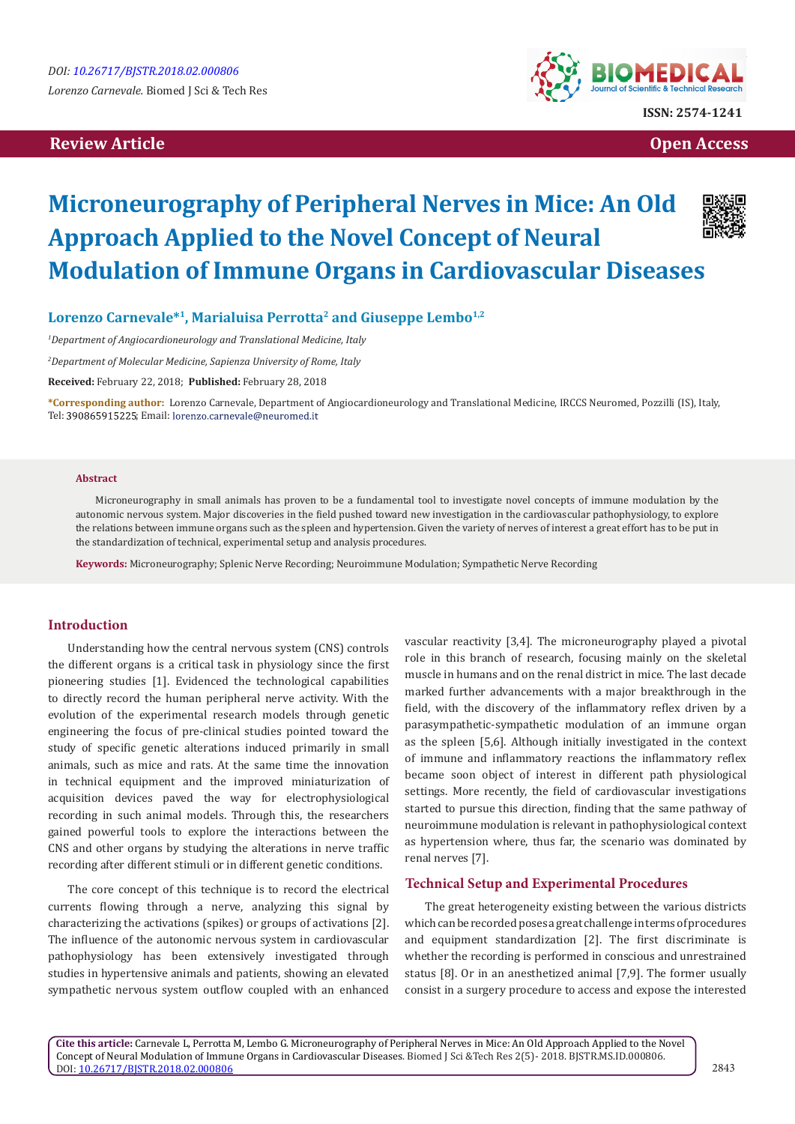# **Review Article Contract Contract Contract Contract Contract Contract Contract Contract Contract Contract Contract Contract Contract Contract Contract Contract Contract Contract Contract Contract Contract Contract Contract**



# **Microneurography of Peripheral Nerves in Mice: An Old Approach Applied to the Novel Concept of Neural Modulation of Immune Organs in Cardiovascular Diseases**

Lorenzo Carnevale<sup>\*1</sup>, Marialuisa Perrotta<sup>2</sup> and Giuseppe Lembo<sup>1,2</sup>

*1 Department of Angiocardioneurology and Translational Medicine, Italy*

*2 Department of Molecular Medicine, Sapienza University of Rome, Italy*

**Received:** February 22, 2018; **Published:** February 28, 2018

**\*Corresponding author:** Lorenzo Carnevale, Department of Angiocardioneurology and Translational Medicine, IRCCS Neuromed, Pozzilli (IS), Italy, Tel: 390865915225; Email: lorenzo.carnevale@neuromed.it

#### **Abstract**

Microneurography in small animals has proven to be a fundamental tool to investigate novel concepts of immune modulation by the autonomic nervous system. Major discoveries in the field pushed toward new investigation in the cardiovascular pathophysiology, to explore the relations between immune organs such as the spleen and hypertension. Given the variety of nerves of interest a great effort has to be put in the standardization of technical, experimental setup and analysis procedures.

**Keywords:** Microneurography; Splenic Nerve Recording; Neuroimmune Modulation; Sympathetic Nerve Recording

### **Introduction**

Understanding how the central nervous system (CNS) controls the different organs is a critical task in physiology since the first pioneering studies [1]. Evidenced the technological capabilities to directly record the human peripheral nerve activity. With the evolution of the experimental research models through genetic engineering the focus of pre-clinical studies pointed toward the study of specific genetic alterations induced primarily in small animals, such as mice and rats. At the same time the innovation in technical equipment and the improved miniaturization of acquisition devices paved the way for electrophysiological recording in such animal models. Through this, the researchers gained powerful tools to explore the interactions between the CNS and other organs by studying the alterations in nerve traffic recording after different stimuli or in different genetic conditions.

The core concept of this technique is to record the electrical currents flowing through a nerve, analyzing this signal by characterizing the activations (spikes) or groups of activations [2]. The influence of the autonomic nervous system in cardiovascular pathophysiology has been extensively investigated through studies in hypertensive animals and patients, showing an elevated sympathetic nervous system outflow coupled with an enhanced

vascular reactivity [3,4]. The microneurography played a pivotal role in this branch of research, focusing mainly on the skeletal muscle in humans and on the renal district in mice. The last decade marked further advancements with a major breakthrough in the field, with the discovery of the inflammatory reflex driven by a parasympathetic-sympathetic modulation of an immune organ as the spleen [5,6]. Although initially investigated in the context of immune and inflammatory reactions the inflammatory reflex became soon object of interest in different path physiological settings. More recently, the field of cardiovascular investigations started to pursue this direction, finding that the same pathway of neuroimmune modulation is relevant in pathophysiological context as hypertension where, thus far, the scenario was dominated by renal nerves [7].

## **Technical Setup and Experimental Procedures**

The great heterogeneity existing between the various districts which can be recorded poses a great challenge in terms of procedures and equipment standardization [2]. The first discriminate is whether the recording is performed in conscious and unrestrained status [8]. Or in an anesthetized animal [7,9]. The former usually consist in a surgery procedure to access and expose the interested

**Cite this article:** Carnevale L, Perrotta M, Lembo G. Microneurography of Peripheral Nerves in Mice: An Old Approach Applied to the Novel Concept of Neural Modulation of Immune Organs in Cardiovascular Diseases. Biomed J Sci &Tech Res 2(5)- 2018. BJSTR.MS.ID.000806. DOI: [10.26717/BJSTR.2018.02.000806](http://dx.doi.org/10.26717/BJSTR.2018.02.000806)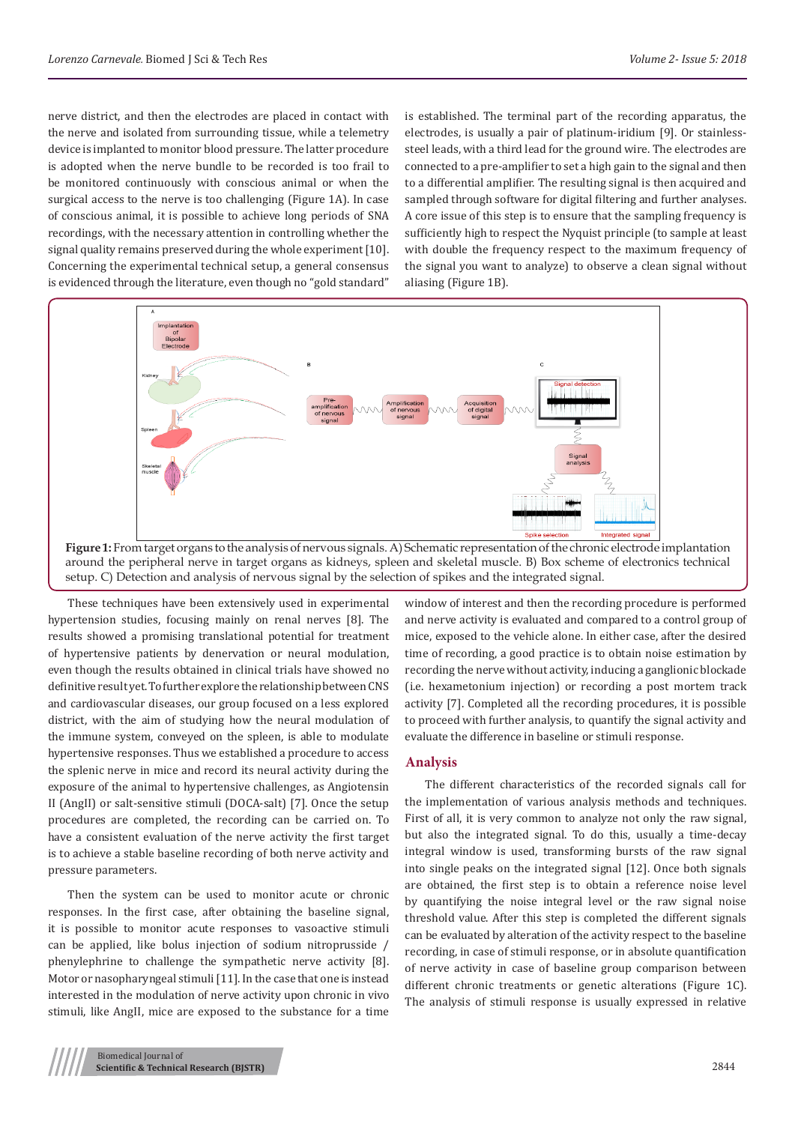nerve district, and then the electrodes are placed in contact with the nerve and isolated from surrounding tissue, while a telemetry device is implanted to monitor blood pressure. The latter procedure is adopted when the nerve bundle to be recorded is too frail to be monitored continuously with conscious animal or when the surgical access to the nerve is too challenging (Figure 1A). In case of conscious animal, it is possible to achieve long periods of SNA recordings, with the necessary attention in controlling whether the signal quality remains preserved during the whole experiment [10]. Concerning the experimental technical setup, a general consensus is evidenced through the literature, even though no "gold standard"

is established. The terminal part of the recording apparatus, the electrodes, is usually a pair of platinum-iridium [9]. Or stainlesssteel leads, with a third lead for the ground wire. The electrodes are connected to a pre-amplifier to set a high gain to the signal and then to a differential amplifier. The resulting signal is then acquired and sampled through software for digital filtering and further analyses. A core issue of this step is to ensure that the sampling frequency is sufficiently high to respect the Nyquist principle (to sample at least with double the frequency respect to the maximum frequency of the signal you want to analyze) to observe a clean signal without aliasing (Figure 1B).



around the peripheral nerve in target organs as kidneys, spleen and skeletal muscle. B) Box scheme of electronics technical setup. C) Detection and analysis of nervous signal by the selection of spikes and the integrated signal.

These techniques have been extensively used in experimental hypertension studies, focusing mainly on renal nerves [8]. The results showed a promising translational potential for treatment of hypertensive patients by denervation or neural modulation, even though the results obtained in clinical trials have showed no definitive result yet. To further explore the relationship between CNS and cardiovascular diseases, our group focused on a less explored district, with the aim of studying how the neural modulation of the immune system, conveyed on the spleen, is able to modulate hypertensive responses. Thus we established a procedure to access the splenic nerve in mice and record its neural activity during the exposure of the animal to hypertensive challenges, as Angiotensin II (AngII) or salt-sensitive stimuli (DOCA-salt) [7]. Once the setup procedures are completed, the recording can be carried on. To have a consistent evaluation of the nerve activity the first target is to achieve a stable baseline recording of both nerve activity and pressure parameters.

Then the system can be used to monitor acute or chronic responses. In the first case, after obtaining the baseline signal, it is possible to monitor acute responses to vasoactive stimuli can be applied, like bolus injection of sodium nitroprusside / phenylephrine to challenge the sympathetic nerve activity [8]. Motor or nasopharyngeal stimuli [11]. In the case that one is instead interested in the modulation of nerve activity upon chronic in vivo stimuli, like AngII, mice are exposed to the substance for a time

window of interest and then the recording procedure is performed and nerve activity is evaluated and compared to a control group of mice, exposed to the vehicle alone. In either case, after the desired time of recording, a good practice is to obtain noise estimation by recording the nerve without activity, inducing a ganglionic blockade (i.e. hexametonium injection) or recording a post mortem track activity [7]. Completed all the recording procedures, it is possible to proceed with further analysis, to quantify the signal activity and evaluate the difference in baseline or stimuli response.

### **Analysis**

The different characteristics of the recorded signals call for the implementation of various analysis methods and techniques. First of all, it is very common to analyze not only the raw signal, but also the integrated signal. To do this, usually a time-decay integral window is used, transforming bursts of the raw signal into single peaks on the integrated signal [12]. Once both signals are obtained, the first step is to obtain a reference noise level by quantifying the noise integral level or the raw signal noise threshold value. After this step is completed the different signals can be evaluated by alteration of the activity respect to the baseline recording, in case of stimuli response, or in absolute quantification of nerve activity in case of baseline group comparison between different chronic treatments or genetic alterations (Figure 1C). The analysis of stimuli response is usually expressed in relative